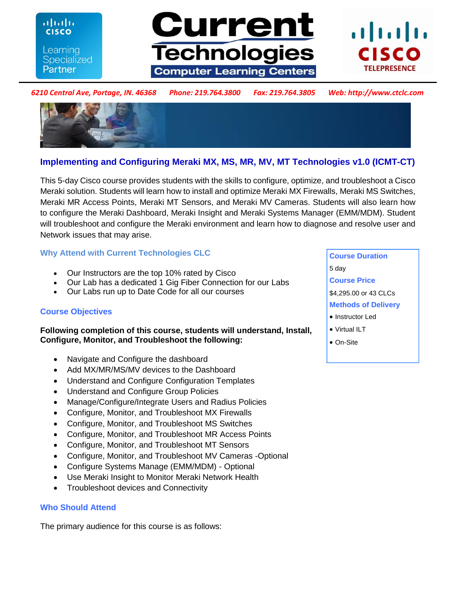ahah **CISCO** Learning **Specialized** Partner





#### *6210 Central Ave, Portage, IN. 46368 Phone: 219.764.3800 Fax: 219.764.3805 Web: http://www.ctclc.com*



# **Implementing and Configuring Meraki MX, MS, MR, MV, MT Technologies v1.0 (ICMT-CT)**

This 5-day Cisco course provides students with the skills to configure, optimize, and troubleshoot a Cisco Meraki solution. Students will learn how to install and optimize Meraki MX Firewalls, Meraki MS Switches, Meraki MR Access Points, Meraki MT Sensors, and Meraki MV Cameras. Students will also learn how to configure the Meraki Dashboard, Meraki Insight and Meraki Systems Manager (EMM/MDM). Student will troubleshoot and configure the Meraki environment and learn how to diagnose and resolve user and Network issues that may arise.

# **Why Attend with Current Technologies CLC**

- Our Instructors are the top 10% rated by Cisco
- Our Lab has a dedicated 1 Gig Fiber Connection for our Labs
- Our Labs run up to Date Code for all our courses

# **Course Objectives**

# **Following completion of this course, students will understand, Install, Configure, Monitor, and Troubleshoot the following:**

- Navigate and Configure the dashboard
- Add MX/MR/MS/MV devices to the Dashboard
- Understand and Configure Configuration Templates
- Understand and Configure Group Policies
- Manage/Configure/Integrate Users and Radius Policies
- Configure, Monitor, and Troubleshoot MX Firewalls
- Configure, Monitor, and Troubleshoot MS Switches
- Configure, Monitor, and Troubleshoot MR Access Points
- Configure, Monitor, and Troubleshoot MT Sensors
- Configure, Monitor, and Troubleshoot MV Cameras -Optional
- Configure Systems Manage (EMM/MDM) Optional
- Use Meraki Insight to Monitor Meraki Network Health
- Troubleshoot devices and Connectivity

#### **Who Should Attend**

The primary audience for this course is as follows:

**Course Duration**  5 day **Course Price**  \$4,295.00 or 43 CLCs **Methods of Delivery**  • Instructor Led Virtual ILT

- 
- On-Site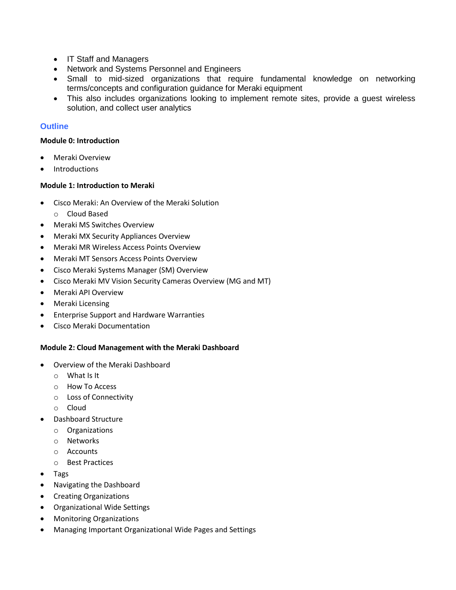- IT Staff and Managers
- Network and Systems Personnel and Engineers
- Small to mid-sized organizations that require fundamental knowledge on networking terms/concepts and configuration guidance for Meraki equipment
- This also includes organizations looking to implement remote sites, provide a guest wireless solution, and collect user analytics

# **Outline**

#### **Module 0: Introduction**

- Meraki Overview
- Introductions

### **Module 1: Introduction to Meraki**

- Cisco Meraki: An Overview of the Meraki Solution
	- o Cloud Based
- Meraki MS Switches Overview
- Meraki MX Security Appliances Overview
- Meraki MR Wireless Access Points Overview
- Meraki MT Sensors Access Points Overview
- Cisco Meraki Systems Manager (SM) Overview
- Cisco Meraki MV Vision Security Cameras Overview (MG and MT)
- Meraki API Overview
- Meraki Licensing
- Enterprise Support and Hardware Warranties
- Cisco Meraki Documentation

#### **Module 2: Cloud Management with the Meraki Dashboard**

- Overview of the Meraki Dashboard
	- o What Is It
	- o How To Access
	- o Loss of Connectivity
	- o Cloud
- Dashboard Structure
	- o Organizations
	- o Networks
	- o Accounts
	- o Best Practices
- Tags
- Navigating the Dashboard
- Creating Organizations
- Organizational Wide Settings
- Monitoring Organizations
- Managing Important Organizational Wide Pages and Settings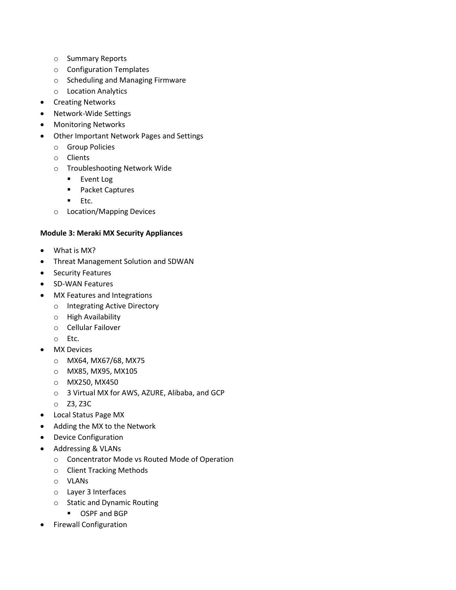- o Summary Reports
- o Configuration Templates
- o Scheduling and Managing Firmware
- o Location Analytics
- Creating Networks
- Network-Wide Settings
- Monitoring Networks
- Other Important Network Pages and Settings
	- o Group Policies
	- o Clients
	- o Troubleshooting Network Wide
		- **Event Log**
		- Packet Captures
		- $E$ . Etc.
	- o Location/Mapping Devices

### **Module 3: Meraki MX Security Appliances**

- What is MX?
- Threat Management Solution and SDWAN
- **•** Security Features
- SD-WAN Features
- MX Features and Integrations
	- o Integrating Active Directory
	- o High Availability
	- o Cellular Failover
	- o Etc.
- MX Devices
	- o MX64, MX67/68, MX75
	- o MX85, MX95, MX105
	- o MX250, MX450
	- o 3 Virtual MX for AWS, AZURE, Alibaba, and GCP
	- o Z3, Z3C
- Local Status Page MX
- Adding the MX to the Network
- Device Configuration
- Addressing & VLANs
	- o Concentrator Mode vs Routed Mode of Operation
	- o Client Tracking Methods
	- o VLANs
	- o Layer 3 Interfaces
	- o Static and Dynamic Routing
		- OSPF and BGP
- Firewall Configuration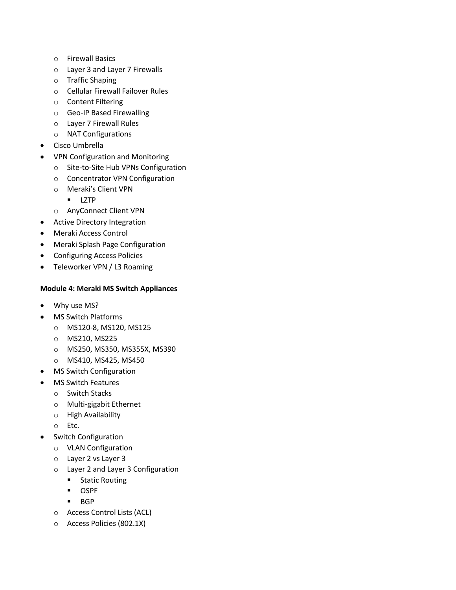- o Firewall Basics
- o Layer 3 and Layer 7 Firewalls
- o Traffic Shaping
- o Cellular Firewall Failover Rules
- o Content Filtering
- o Geo-IP Based Firewalling
- o Layer 7 Firewall Rules
- o NAT Configurations
- Cisco Umbrella
- VPN Configuration and Monitoring
	- o Site-to-Site Hub VPNs Configuration
	- o Concentrator VPN Configuration
	- o Meraki's Client VPN
		- **LZTP**
	- o AnyConnect Client VPN
- Active Directory Integration
- Meraki Access Control
- Meraki Splash Page Configuration
- Configuring Access Policies
- Teleworker VPN / L3 Roaming

#### **Module 4: Meraki MS Switch Appliances**

- Why use MS?
- MS Switch Platforms
	- o MS120-8, MS120, MS125
	- o MS210, MS225
	- o MS250, MS350, MS355X, MS390
	- o MS410, MS425, MS450
- MS Switch Configuration
- MS Switch Features
	- o Switch Stacks
	- o Multi-gigabit Ethernet
	- o High Availability
	- o Etc.
- Switch Configuration
	- o VLAN Configuration
	- o Layer 2 vs Layer 3
	- o Layer 2 and Layer 3 Configuration
		- **Static Routing**
		- OSPF
		- $BGP$
	- o Access Control Lists (ACL)
	- o Access Policies (802.1X)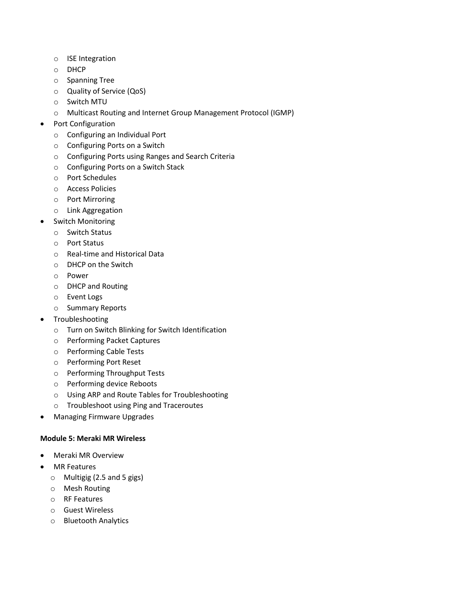- o ISE Integration
- o DHCP
- o Spanning Tree
- o Quality of Service (QoS)
- o Switch MTU
- o Multicast Routing and Internet Group Management Protocol (IGMP)
- Port Configuration
	- o Configuring an Individual Port
	- o Configuring Ports on a Switch
	- o Configuring Ports using Ranges and Search Criteria
	- o Configuring Ports on a Switch Stack
	- o Port Schedules
	- o Access Policies
	- o Port Mirroring
	- o Link Aggregation
- Switch Monitoring
	- o Switch Status
	- o Port Status
	- o Real-time and Historical Data
	- o DHCP on the Switch
	- o Power
	- o DHCP and Routing
	- o Event Logs
	- o Summary Reports
- Troubleshooting
	- o Turn on Switch Blinking for Switch Identification
	- o Performing Packet Captures
	- o Performing Cable Tests
	- o Performing Port Reset
	- o Performing Throughput Tests
	- o Performing device Reboots
	- o Using ARP and Route Tables for Troubleshooting
	- o Troubleshoot using Ping and Traceroutes
- Managing Firmware Upgrades

#### **Module 5: Meraki MR Wireless**

- Meraki MR Overview
- MR Features
	- o Multigig (2.5 and 5 gigs)
	- o Mesh Routing
	- o RF Features
	- o Guest Wireless
	- o Bluetooth Analytics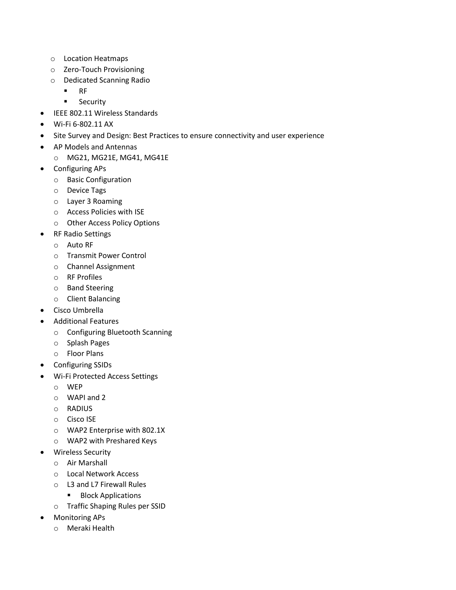- o Location Heatmaps
- o Zero-Touch Provisioning
- o Dedicated Scanning Radio
	- $RF$
	- **Security**
- IEEE 802.11 Wireless Standards
- Wi-Fi 6-802.11 AX
- Site Survey and Design: Best Practices to ensure connectivity and user experience
- AP Models and Antennas
- o MG21, MG21E, MG41, MG41E
- Configuring APs
	- o Basic Configuration
	- o Device Tags
	- o Layer 3 Roaming
	- o Access Policies with ISE
	- o Other Access Policy Options
- RF Radio Settings
	- o Auto RF
	- o Transmit Power Control
	- o Channel Assignment
	- o RF Profiles
	- o Band Steering
	- o Client Balancing
- Cisco Umbrella
- Additional Features
	- o Configuring Bluetooth Scanning
	- o Splash Pages
	- o Floor Plans
- Configuring SSIDs
- Wi-Fi Protected Access Settings
	- o WEP
	- o WAPI and 2
	- o RADIUS
	- o Cisco ISE
	- o WAP2 Enterprise with 802.1X
	- o WAP2 with Preshared Keys
- Wireless Security
	- o Air Marshall
	- o Local Network Access
	- o L3 and L7 Firewall Rules
		- **Block Applications**
	- o Traffic Shaping Rules per SSID
- Monitoring APs
	- o Meraki Health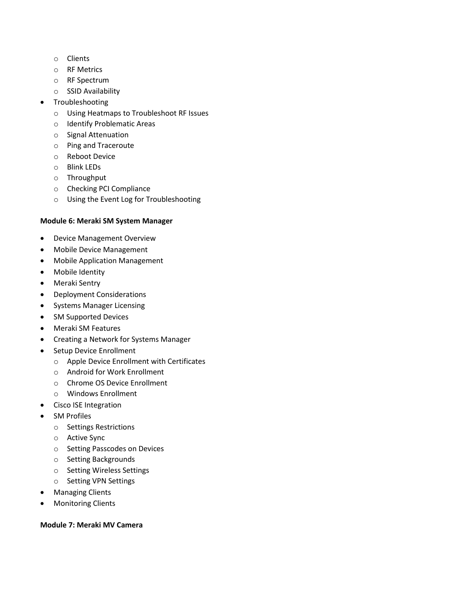- o Clients
- o RF Metrics
- o RF Spectrum
- o SSID Availability
- Troubleshooting
	- o Using Heatmaps to Troubleshoot RF Issues
	- o Identify Problematic Areas
	- o Signal Attenuation
	- o Ping and Traceroute
	- o Reboot Device
	- o Blink LEDs
	- o Throughput
	- o Checking PCI Compliance
	- o Using the Event Log for Troubleshooting

#### **Module 6: Meraki SM System Manager**

- Device Management Overview
- Mobile Device Management
- Mobile Application Management
- Mobile Identity
- Meraki Sentry
- Deployment Considerations
- Systems Manager Licensing
- SM Supported Devices
- Meraki SM Features
- Creating a Network for Systems Manager
- Setup Device Enrollment
	- o Apple Device Enrollment with Certificates
	- o Android for Work Enrollment
	- o Chrome OS Device Enrollment
	- o Windows Enrollment
- **•** Cisco ISE Integration
- SM Profiles
	- o Settings Restrictions
	- o Active Sync
	- o Setting Passcodes on Devices
	- o Setting Backgrounds
	- o Setting Wireless Settings
	- o Setting VPN Settings
- Managing Clients
- Monitoring Clients

#### **Module 7: Meraki MV Camera**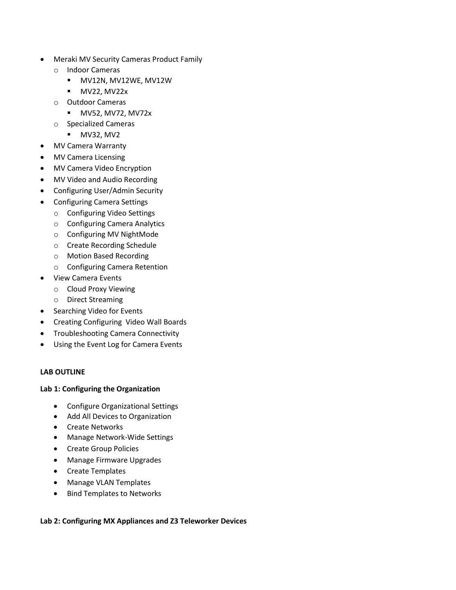- Meraki MV Security Cameras Product Family
	- o Indoor Cameras
		- MV12N, MV12WE, MV12W
		- **•** MV22, MV22x
	- o Outdoor Cameras
		- **MV52, MV72, MV72x**
	- o Specialized Cameras
		- **MV32, MV2**
- MV Camera Warranty
- MV Camera Licensing
- MV Camera Video Encryption
- MV Video and Audio Recording
- Configuring User/Admin Security
- Configuring Camera Settings
	- o Configuring Video Settings
	- o Configuring Camera Analytics
	- o Configuring MV NightMode
	- o Create Recording Schedule
	- o Motion Based Recording
	- o Configuring Camera Retention
- View Camera Events
	- o Cloud Proxy Viewing
	- o Direct Streaming
- Searching Video for Events
- **•** Creating Configuring Video Wall Boards
- Troubleshooting Camera Connectivity
- Using the Event Log for Camera Events

#### **LAB OUTLINE**

#### **Lab 1: Configuring the Organization**

- Configure Organizational Settings
- Add All Devices to Organization
- **•** Create Networks
- Manage Network-Wide Settings
- Create Group Policies
- Manage Firmware Upgrades
- Create Templates
- Manage VLAN Templates
- Bind Templates to Networks

#### **Lab 2: Configuring MX Appliances and Z3 Teleworker Devices**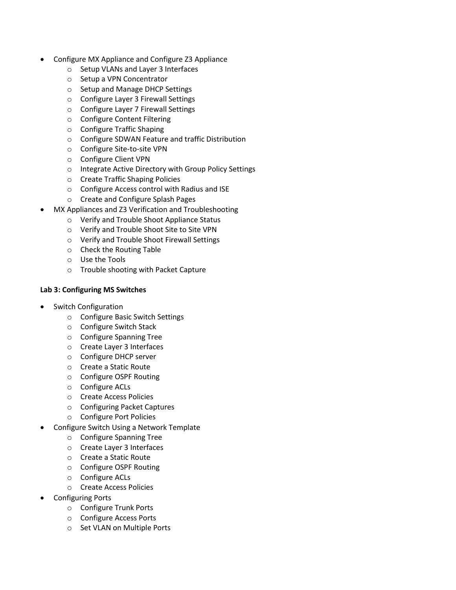- Configure MX Appliance and Configure Z3 Appliance
	- o Setup VLANs and Layer 3 Interfaces
	- o Setup a VPN Concentrator
	- o Setup and Manage DHCP Settings
	- o Configure Layer 3 Firewall Settings
	- o Configure Layer 7 Firewall Settings
	- o Configure Content Filtering
	- o Configure Traffic Shaping
	- o Configure SDWAN Feature and traffic Distribution
	- o Configure Site-to-site VPN
	- o Configure Client VPN
	- o Integrate Active Directory with Group Policy Settings
	- o Create Traffic Shaping Policies
	- o Configure Access control with Radius and ISE
	- o Create and Configure Splash Pages
- MX Appliances and Z3 Verification and Troubleshooting
	- o Verify and Trouble Shoot Appliance Status
	- o Verify and Trouble Shoot Site to Site VPN
	- o Verify and Trouble Shoot Firewall Settings
	- o Check the Routing Table
	- o Use the Tools
	- o Trouble shooting with Packet Capture

#### **Lab 3: Configuring MS Switches**

- Switch Configuration
	- o Configure Basic Switch Settings
	- o Configure Switch Stack
	- o Configure Spanning Tree
	- o Create Layer 3 Interfaces
	- o Configure DHCP server
	- o Create a Static Route
	- o Configure OSPF Routing
	- o Configure ACLs
	- o Create Access Policies
	- o Configuring Packet Captures
	- o Configure Port Policies
- Configure Switch Using a Network Template
	- o Configure Spanning Tree
	- o Create Layer 3 Interfaces
	- o Create a Static Route
	- o Configure OSPF Routing
	- o Configure ACLs
	- o Create Access Policies
- Configuring Ports
	- o Configure Trunk Ports
	- o Configure Access Ports
	- o Set VLAN on Multiple Ports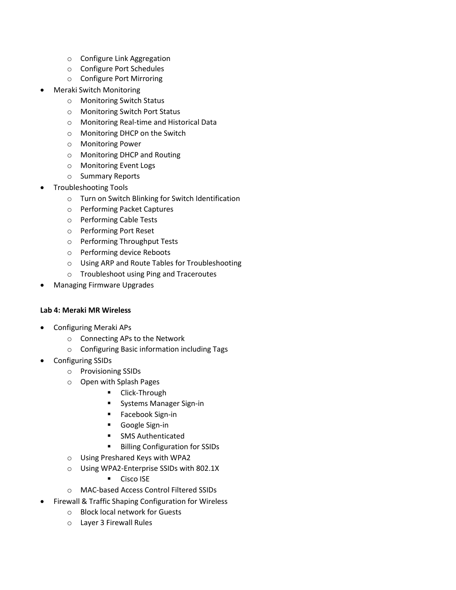- o Configure Link Aggregation
- o Configure Port Schedules
- o Configure Port Mirroring
- Meraki Switch Monitoring
	- o Monitoring Switch Status
	- o Monitoring Switch Port Status
	- o Monitoring Real-time and Historical Data
	- o Monitoring DHCP on the Switch
	- o Monitoring Power
	- o Monitoring DHCP and Routing
	- o Monitoring Event Logs
	- o Summary Reports
- Troubleshooting Tools
	- o Turn on Switch Blinking for Switch Identification
	- o Performing Packet Captures
	- o Performing Cable Tests
	- o Performing Port Reset
	- o Performing Throughput Tests
	- o Performing device Reboots
	- o Using ARP and Route Tables for Troubleshooting
	- o Troubleshoot using Ping and Traceroutes
- Managing Firmware Upgrades

#### **Lab 4: Meraki MR Wireless**

- Configuring Meraki APs
	- o Connecting APs to the Network
	- o Configuring Basic information including Tags
- Configuring SSIDs
	- o Provisioning SSIDs
	- o Open with Splash Pages
		- **-** Click-Through
		- Systems Manager Sign-in
		- **Facebook Sign-in**
		- Google Sign-in
		- **SMS Authenticated**
		- **Billing Configuration for SSIDs**
	- o Using Preshared Keys with WPA2
	- o Using WPA2-Enterprise SSIDs with 802.1X
		- **Cisco ISE**
	- o MAC-based Access Control Filtered SSIDs
- Firewall & Traffic Shaping Configuration for Wireless
	- o Block local network for Guests
	- o Layer 3 Firewall Rules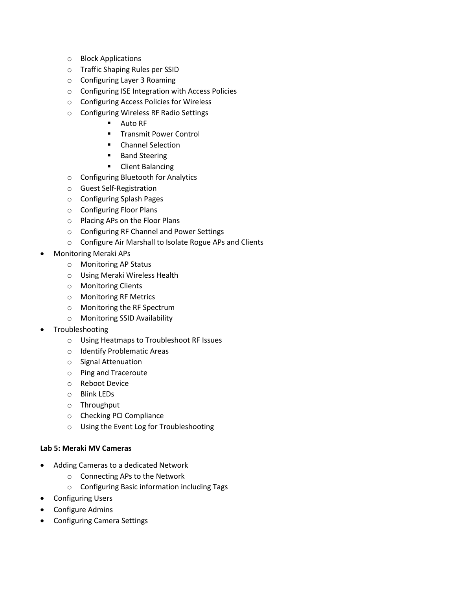- o Block Applications
- o Traffic Shaping Rules per SSID
- o Configuring Layer 3 Roaming
- o Configuring ISE Integration with Access Policies
- o Configuring Access Policies for Wireless
- o Configuring Wireless RF Radio Settings
	- **Auto RF**
	- **Transmit Power Control**
	- **E** Channel Selection
	- Band Steering
	- **•** Client Balancing
- o Configuring Bluetooth for Analytics
- o Guest Self-Registration
- o Configuring Splash Pages
- o Configuring Floor Plans
- o Placing APs on the Floor Plans
- o Configuring RF Channel and Power Settings
- o Configure Air Marshall to Isolate Rogue APs and Clients
- Monitoring Meraki APs
	- o Monitoring AP Status
	- o Using Meraki Wireless Health
	- o Monitoring Clients
	- o Monitoring RF Metrics
	- o Monitoring the RF Spectrum
	- o Monitoring SSID Availability
- Troubleshooting
	- o Using Heatmaps to Troubleshoot RF Issues
	- o Identify Problematic Areas
	- o Signal Attenuation
	- o Ping and Traceroute
	- o Reboot Device
	- o Blink LEDs
	- o Throughput
	- o Checking PCI Compliance
	- o Using the Event Log for Troubleshooting

#### **Lab 5: Meraki MV Cameras**

- Adding Cameras to a dedicated Network
	- o Connecting APs to the Network
	- o Configuring Basic information including Tags
- **•** Configuring Users
- Configure Admins
- Configuring Camera Settings